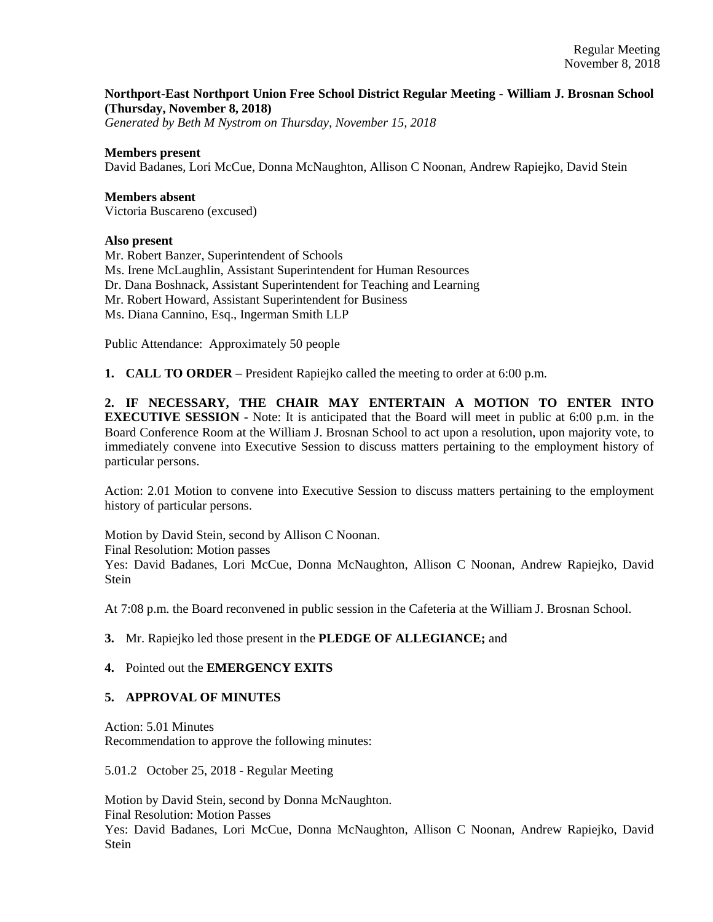## **Northport-East Northport Union Free School District Regular Meeting - William J. Brosnan School (Thursday, November 8, 2018)**

*Generated by Beth M Nystrom on Thursday, November 15, 2018*

## **Members present**

David Badanes, Lori McCue, Donna McNaughton, Allison C Noonan, Andrew Rapiejko, David Stein

**Members absent**  Victoria Buscareno (excused)

#### **Also present**

Mr. Robert Banzer, Superintendent of Schools Ms. Irene McLaughlin, Assistant Superintendent for Human Resources Dr. Dana Boshnack, Assistant Superintendent for Teaching and Learning Mr. Robert Howard, Assistant Superintendent for Business Ms. Diana Cannino, Esq., Ingerman Smith LLP

Public Attendance: Approximately 50 people

**1. CALL TO ORDER** – President Rapiejko called the meeting to order at 6:00 p.m.

**2. IF NECESSARY, THE CHAIR MAY ENTERTAIN A MOTION TO ENTER INTO EXECUTIVE SESSION** - Note: It is anticipated that the Board will meet in public at 6:00 p.m. in the Board Conference Room at the William J. Brosnan School to act upon a resolution, upon majority vote, to immediately convene into Executive Session to discuss matters pertaining to the employment history of particular persons.

Action: 2.01 Motion to convene into Executive Session to discuss matters pertaining to the employment history of particular persons.

Motion by David Stein, second by Allison C Noonan. Final Resolution: Motion passes Yes: David Badanes, Lori McCue, Donna McNaughton, Allison C Noonan, Andrew Rapiejko, David **Stein** 

At 7:08 p.m. the Board reconvened in public session in the Cafeteria at the William J. Brosnan School.

## **3.** Mr. Rapiejko led those present in the **PLEDGE OF ALLEGIANCE;** and

## **4.** Pointed out the **EMERGENCY EXITS**

## **5. APPROVAL OF MINUTES**

Action: 5.01 Minutes Recommendation to approve the following minutes:

5.01.2 October 25, 2018 - Regular Meeting

Motion by David Stein, second by Donna McNaughton.

Final Resolution: Motion Passes

Yes: David Badanes, Lori McCue, Donna McNaughton, Allison C Noonan, Andrew Rapiejko, David Stein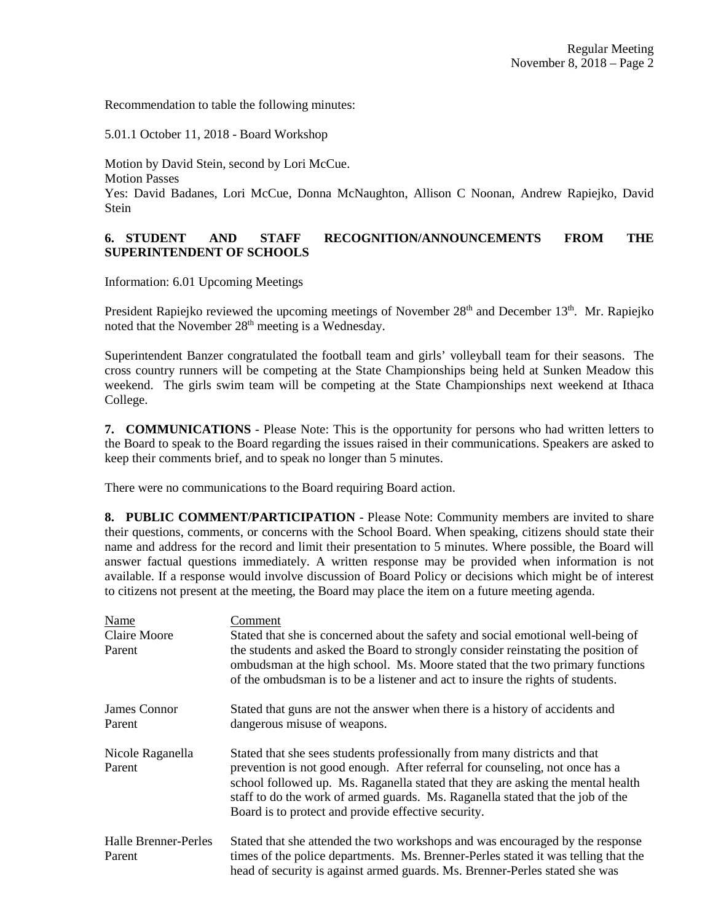Recommendation to table the following minutes:

5.01.1 October 11, 2018 - Board Workshop

Motion by David Stein, second by Lori McCue. Motion Passes Yes: David Badanes, Lori McCue, Donna McNaughton, Allison C Noonan, Andrew Rapiejko, David Stein

# **6. STUDENT AND STAFF RECOGNITION/ANNOUNCEMENTS FROM THE SUPERINTENDENT OF SCHOOLS**

Information: 6.01 Upcoming Meetings

President Rapiejko reviewed the upcoming meetings of November  $28<sup>th</sup>$  and December  $13<sup>th</sup>$ . Mr. Rapiejko noted that the November 28<sup>th</sup> meeting is a Wednesday.

Superintendent Banzer congratulated the football team and girls' volleyball team for their seasons. The cross country runners will be competing at the State Championships being held at Sunken Meadow this weekend. The girls swim team will be competing at the State Championships next weekend at Ithaca College.

**7. COMMUNICATIONS** - Please Note: This is the opportunity for persons who had written letters to the Board to speak to the Board regarding the issues raised in their communications. Speakers are asked to keep their comments brief, and to speak no longer than 5 minutes.

There were no communications to the Board requiring Board action.

**8. PUBLIC COMMENT/PARTICIPATION** - Please Note: Community members are invited to share their questions, comments, or concerns with the School Board. When speaking, citizens should state their name and address for the record and limit their presentation to 5 minutes. Where possible, the Board will answer factual questions immediately. A written response may be provided when information is not available. If a response would involve discussion of Board Policy or decisions which might be of interest to citizens not present at the meeting, the Board may place the item on a future meeting agenda.

| Name<br><b>Claire Moore</b><br>Parent | Comment<br>Stated that she is concerned about the safety and social emotional well-being of<br>the students and asked the Board to strongly consider reinstating the position of<br>ombudsman at the high school. Ms. Moore stated that the two primary functions<br>of the ombudsman is to be a listener and act to insure the rights of students.                                   |
|---------------------------------------|---------------------------------------------------------------------------------------------------------------------------------------------------------------------------------------------------------------------------------------------------------------------------------------------------------------------------------------------------------------------------------------|
| James Connor<br>Parent                | Stated that guns are not the answer when there is a history of accidents and<br>dangerous misuse of weapons.                                                                                                                                                                                                                                                                          |
| Nicole Raganella<br>Parent            | Stated that she sees students professionally from many districts and that<br>prevention is not good enough. After referral for counseling, not once has a<br>school followed up. Ms. Raganella stated that they are asking the mental health<br>staff to do the work of armed guards. Ms. Raganella stated that the job of the<br>Board is to protect and provide effective security. |
| <b>Halle Brenner-Perles</b><br>Parent | Stated that she attended the two workshops and was encouraged by the response<br>times of the police departments. Ms. Brenner-Perles stated it was telling that the<br>head of security is against armed guards. Ms. Brenner-Perles stated she was                                                                                                                                    |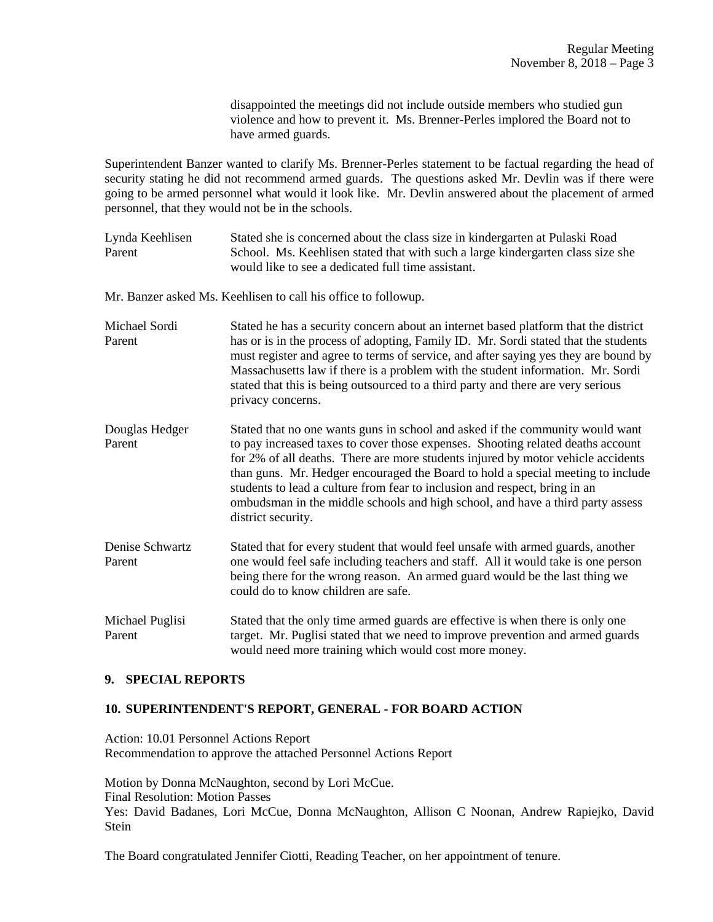disappointed the meetings did not include outside members who studied gun violence and how to prevent it. Ms. Brenner-Perles implored the Board not to have armed guards.

Superintendent Banzer wanted to clarify Ms. Brenner-Perles statement to be factual regarding the head of security stating he did not recommend armed guards. The questions asked Mr. Devlin was if there were going to be armed personnel what would it look like. Mr. Devlin answered about the placement of armed personnel, that they would not be in the schools.

Lynda Keehlisen Stated she is concerned about the class size in kindergarten at Pulaski Road Parent School. Ms. Keehlisen stated that with such a large kindergarten class size she would like to see a dedicated full time assistant.

Mr. Banzer asked Ms. Keehlisen to call his office to followup.

- Michael Sordi Stated he has a security concern about an internet based platform that the district Parent has or is in the process of adopting, Family ID. Mr. Sordi stated that the students must register and agree to terms of service, and after saying yes they are bound by Massachusetts law if there is a problem with the student information. Mr. Sordi stated that this is being outsourced to a third party and there are very serious privacy concerns.
- Douglas Hedger Stated that no one wants guns in school and asked if the community would want<br>Parent to pay increased taxes to cover those expenses. Shooting related deaths account to pay increased taxes to cover those expenses. Shooting related deaths account for 2% of all deaths. There are more students injured by motor vehicle accidents than guns. Mr. Hedger encouraged the Board to hold a special meeting to include students to lead a culture from fear to inclusion and respect, bring in an ombudsman in the middle schools and high school, and have a third party assess district security.
- Denise Schwartz Stated that for every student that would feel unsafe with armed guards, another Parent one would feel safe including teachers and staff. All it would take is one person being there for the wrong reason. An armed guard would be the last thing we could do to know children are safe.
- Michael Puglisi Stated that the only time armed guards are effective is when there is only one Parent target. Mr. Puglisi stated that we need to improve prevention and armed guards would need more training which would cost more money.

## **9. SPECIAL REPORTS**

#### **10. SUPERINTENDENT'S REPORT, GENERAL - FOR BOARD ACTION**

Action: 10.01 Personnel Actions Report Recommendation to approve the attached Personnel Actions Report

Motion by Donna McNaughton, second by Lori McCue. Final Resolution: Motion Passes Yes: David Badanes, Lori McCue, Donna McNaughton, Allison C Noonan, Andrew Rapiejko, David Stein

The Board congratulated Jennifer Ciotti, Reading Teacher, on her appointment of tenure.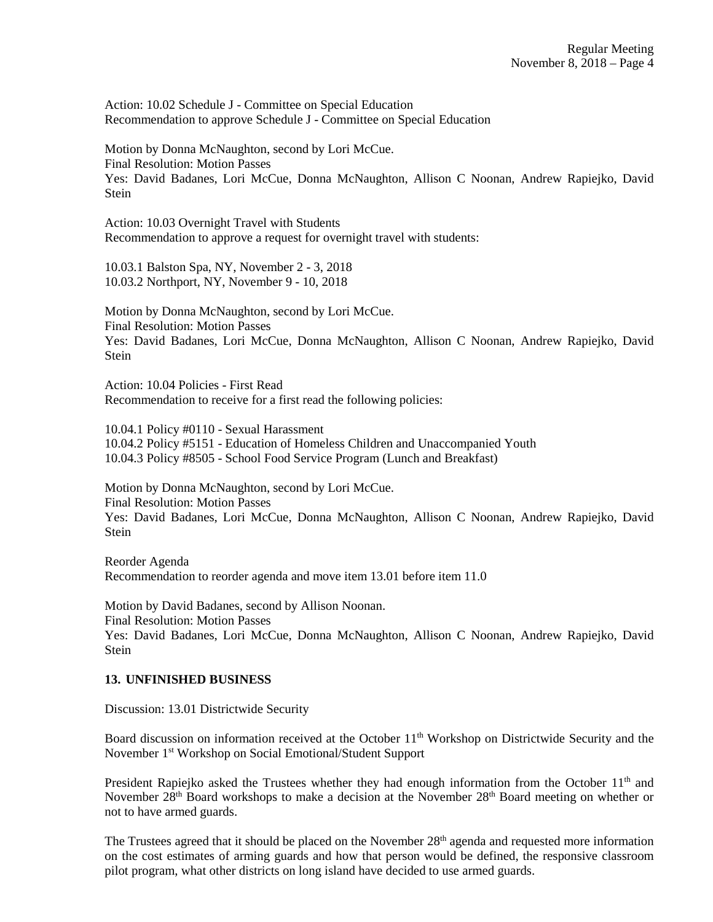Action: 10.02 Schedule J - Committee on Special Education Recommendation to approve Schedule J - Committee on Special Education

Motion by Donna McNaughton, second by Lori McCue. Final Resolution: Motion Passes Yes: David Badanes, Lori McCue, Donna McNaughton, Allison C Noonan, Andrew Rapiejko, David Stein

Action: 10.03 Overnight Travel with Students Recommendation to approve a request for overnight travel with students:

10.03.1 Balston Spa, NY, November 2 - 3, 2018 10.03.2 Northport, NY, November 9 - 10, 2018

Motion by Donna McNaughton, second by Lori McCue. Final Resolution: Motion Passes Yes: David Badanes, Lori McCue, Donna McNaughton, Allison C Noonan, Andrew Rapiejko, David **Stein** 

Action: 10.04 Policies - First Read Recommendation to receive for a first read the following policies:

10.04.1 Policy #0110 - Sexual Harassment 10.04.2 Policy #5151 - Education of Homeless Children and Unaccompanied Youth 10.04.3 Policy #8505 - School Food Service Program (Lunch and Breakfast)

Motion by Donna McNaughton, second by Lori McCue. Final Resolution: Motion Passes Yes: David Badanes, Lori McCue, Donna McNaughton, Allison C Noonan, Andrew Rapiejko, David Stein

Reorder Agenda Recommendation to reorder agenda and move item 13.01 before item 11.0

Motion by David Badanes, second by Allison Noonan. Final Resolution: Motion Passes Yes: David Badanes, Lori McCue, Donna McNaughton, Allison C Noonan, Andrew Rapiejko, David **Stein** 

## **13. UNFINISHED BUSINESS**

Discussion: 13.01 Districtwide Security

Board discussion on information received at the October 11<sup>th</sup> Workshop on Districtwide Security and the November 1st Workshop on Social Emotional/Student Support

President Rapiejko asked the Trustees whether they had enough information from the October 11<sup>th</sup> and November 28<sup>th</sup> Board workshops to make a decision at the November 28<sup>th</sup> Board meeting on whether or not to have armed guards.

The Trustees agreed that it should be placed on the November  $28<sup>th</sup>$  agenda and requested more information on the cost estimates of arming guards and how that person would be defined, the responsive classroom pilot program, what other districts on long island have decided to use armed guards.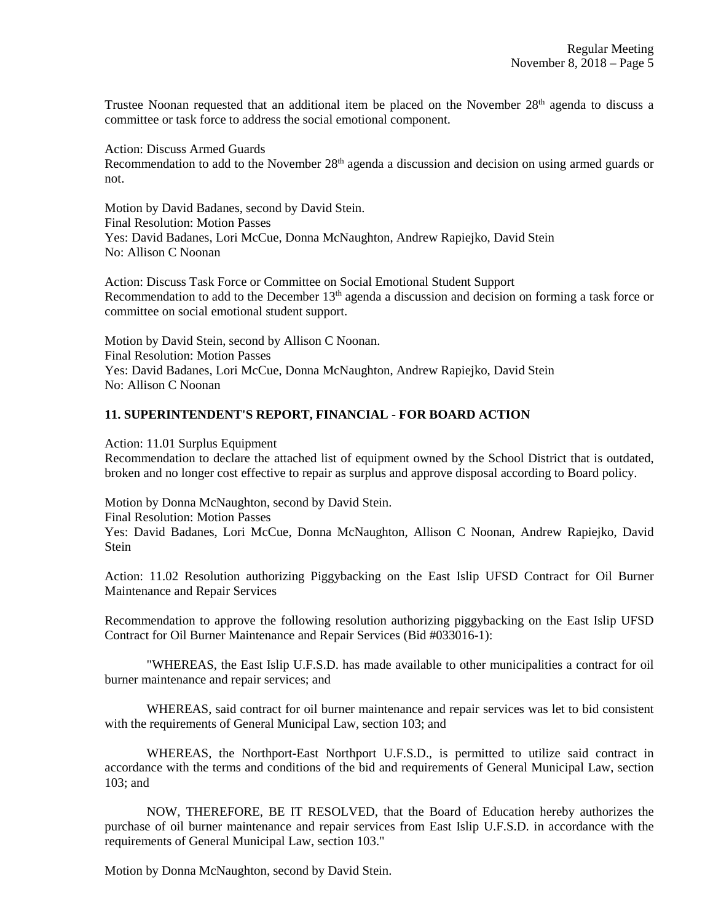Trustee Noonan requested that an additional item be placed on the November 28<sup>th</sup> agenda to discuss a committee or task force to address the social emotional component.

Action: Discuss Armed Guards

Recommendation to add to the November  $28<sup>th</sup>$  agenda a discussion and decision on using armed guards or not.

Motion by David Badanes, second by David Stein. Final Resolution: Motion Passes Yes: David Badanes, Lori McCue, Donna McNaughton, Andrew Rapiejko, David Stein No: Allison C Noonan

Action: Discuss Task Force or Committee on Social Emotional Student Support Recommendation to add to the December  $13<sup>th</sup>$  agenda a discussion and decision on forming a task force or committee on social emotional student support.

Motion by David Stein, second by Allison C Noonan. Final Resolution: Motion Passes Yes: David Badanes, Lori McCue, Donna McNaughton, Andrew Rapiejko, David Stein No: Allison C Noonan

#### **11. SUPERINTENDENT'S REPORT, FINANCIAL - FOR BOARD ACTION**

Action: 11.01 Surplus Equipment

Recommendation to declare the attached list of equipment owned by the School District that is outdated, broken and no longer cost effective to repair as surplus and approve disposal according to Board policy.

Motion by Donna McNaughton, second by David Stein.

Final Resolution: Motion Passes

Yes: David Badanes, Lori McCue, Donna McNaughton, Allison C Noonan, Andrew Rapiejko, David **Stein** 

Action: 11.02 Resolution authorizing Piggybacking on the East Islip UFSD Contract for Oil Burner Maintenance and Repair Services

Recommendation to approve the following resolution authorizing piggybacking on the East Islip UFSD Contract for Oil Burner Maintenance and Repair Services (Bid #033016-1):

"WHEREAS, the East Islip U.F.S.D. has made available to other municipalities a contract for oil burner maintenance and repair services; and

WHEREAS, said contract for oil burner maintenance and repair services was let to bid consistent with the requirements of General Municipal Law, section 103; and

WHEREAS, the Northport-East Northport U.F.S.D., is permitted to utilize said contract in accordance with the terms and conditions of the bid and requirements of General Municipal Law, section 103; and

NOW, THEREFORE, BE IT RESOLVED, that the Board of Education hereby authorizes the purchase of oil burner maintenance and repair services from East Islip U.F.S.D. in accordance with the requirements of General Municipal Law, section 103."

Motion by Donna McNaughton, second by David Stein.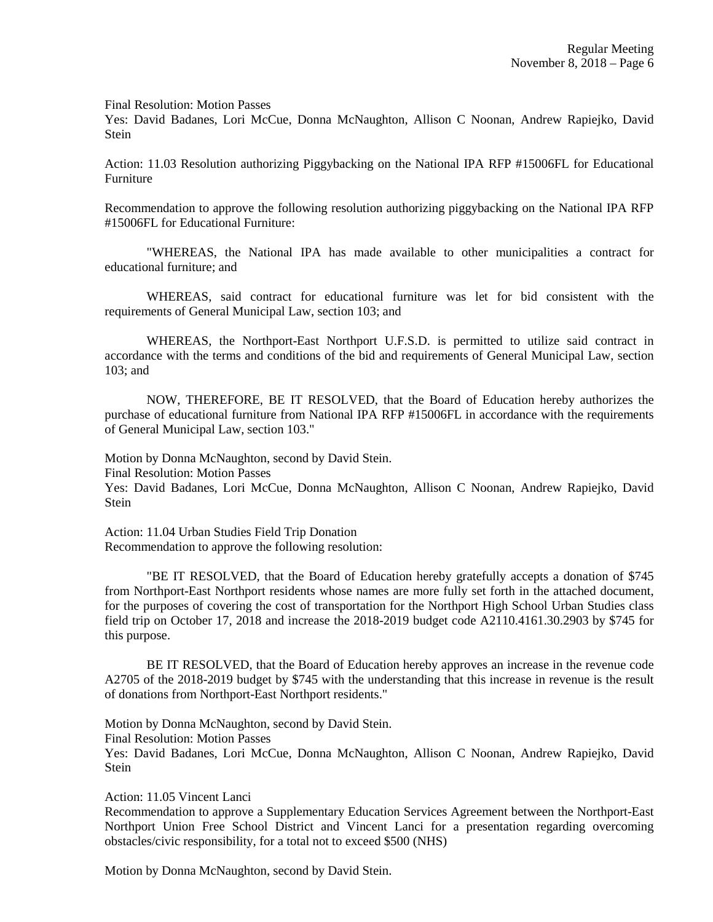Final Resolution: Motion Passes

Yes: David Badanes, Lori McCue, Donna McNaughton, Allison C Noonan, Andrew Rapiejko, David Stein

Action: 11.03 Resolution authorizing Piggybacking on the National IPA RFP #15006FL for Educational Furniture

Recommendation to approve the following resolution authorizing piggybacking on the National IPA RFP #15006FL for Educational Furniture:

"WHEREAS, the National IPA has made available to other municipalities a contract for educational furniture; and

WHEREAS, said contract for educational furniture was let for bid consistent with the requirements of General Municipal Law, section 103; and

WHEREAS, the Northport-East Northport U.F.S.D. is permitted to utilize said contract in accordance with the terms and conditions of the bid and requirements of General Municipal Law, section 103; and

NOW, THEREFORE, BE IT RESOLVED, that the Board of Education hereby authorizes the purchase of educational furniture from National IPA RFP #15006FL in accordance with the requirements of General Municipal Law, section 103."

Motion by Donna McNaughton, second by David Stein. Final Resolution: Motion Passes Yes: David Badanes, Lori McCue, Donna McNaughton, Allison C Noonan, Andrew Rapiejko, David Stein

Action: 11.04 Urban Studies Field Trip Donation Recommendation to approve the following resolution:

"BE IT RESOLVED, that the Board of Education hereby gratefully accepts a donation of \$745 from Northport-East Northport residents whose names are more fully set forth in the attached document, for the purposes of covering the cost of transportation for the Northport High School Urban Studies class field trip on October 17, 2018 and increase the 2018-2019 budget code A2110.4161.30.2903 by \$745 for this purpose.

BE IT RESOLVED, that the Board of Education hereby approves an increase in the revenue code A2705 of the 2018-2019 budget by \$745 with the understanding that this increase in revenue is the result of donations from Northport-East Northport residents."

Motion by Donna McNaughton, second by David Stein.

Final Resolution: Motion Passes

Yes: David Badanes, Lori McCue, Donna McNaughton, Allison C Noonan, Andrew Rapiejko, David Stein

Action: 11.05 Vincent Lanci

Recommendation to approve a Supplementary Education Services Agreement between the Northport-East Northport Union Free School District and Vincent Lanci for a presentation regarding overcoming obstacles/civic responsibility, for a total not to exceed \$500 (NHS)

Motion by Donna McNaughton, second by David Stein.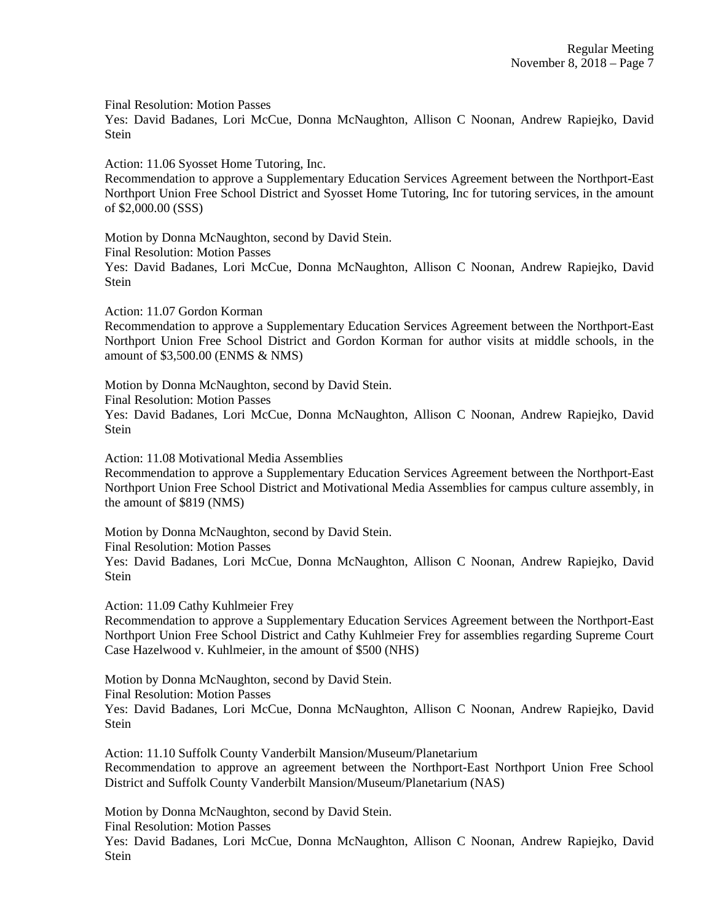Final Resolution: Motion Passes

Yes: David Badanes, Lori McCue, Donna McNaughton, Allison C Noonan, Andrew Rapiejko, David Stein

Action: 11.06 Syosset Home Tutoring, Inc.

Recommendation to approve a Supplementary Education Services Agreement between the Northport-East Northport Union Free School District and Syosset Home Tutoring, Inc for tutoring services, in the amount of \$2,000.00 (SSS)

Motion by Donna McNaughton, second by David Stein. Final Resolution: Motion Passes Yes: David Badanes, Lori McCue, Donna McNaughton, Allison C Noonan, Andrew Rapiejko, David Stein

Action: 11.07 Gordon Korman

Recommendation to approve a Supplementary Education Services Agreement between the Northport-East Northport Union Free School District and Gordon Korman for author visits at middle schools, in the amount of \$3,500.00 (ENMS & NMS)

Motion by Donna McNaughton, second by David Stein.

Final Resolution: Motion Passes

Yes: David Badanes, Lori McCue, Donna McNaughton, Allison C Noonan, Andrew Rapiejko, David Stein

Action: 11.08 Motivational Media Assemblies

Recommendation to approve a Supplementary Education Services Agreement between the Northport-East Northport Union Free School District and Motivational Media Assemblies for campus culture assembly, in the amount of \$819 (NMS)

Motion by Donna McNaughton, second by David Stein.

Final Resolution: Motion Passes

Yes: David Badanes, Lori McCue, Donna McNaughton, Allison C Noonan, Andrew Rapiejko, David Stein

Action: 11.09 Cathy Kuhlmeier Frey

Recommendation to approve a Supplementary Education Services Agreement between the Northport-East Northport Union Free School District and Cathy Kuhlmeier Frey for assemblies regarding Supreme Court Case Hazelwood v. Kuhlmeier, in the amount of \$500 (NHS)

Motion by Donna McNaughton, second by David Stein.

Final Resolution: Motion Passes

Yes: David Badanes, Lori McCue, Donna McNaughton, Allison C Noonan, Andrew Rapiejko, David Stein

Action: 11.10 Suffolk County Vanderbilt Mansion/Museum/Planetarium

Recommendation to approve an agreement between the Northport-East Northport Union Free School District and Suffolk County Vanderbilt Mansion/Museum/Planetarium (NAS)

Motion by Donna McNaughton, second by David Stein.

Final Resolution: Motion Passes

Yes: David Badanes, Lori McCue, Donna McNaughton, Allison C Noonan, Andrew Rapiejko, David Stein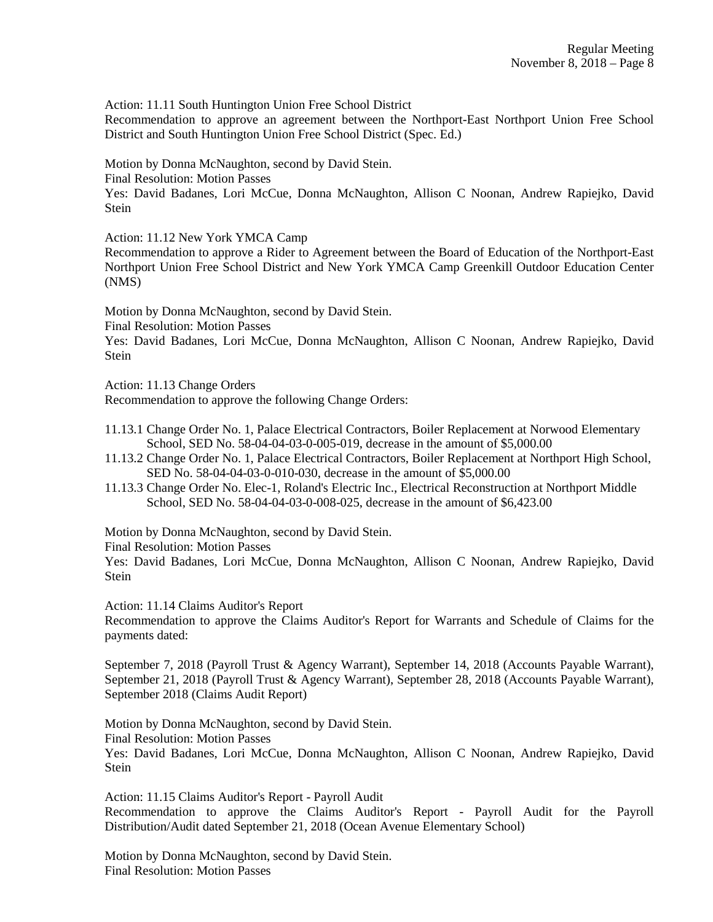Action: 11.11 South Huntington Union Free School District

Recommendation to approve an agreement between the Northport-East Northport Union Free School District and South Huntington Union Free School District (Spec. Ed.)

Motion by Donna McNaughton, second by David Stein.

Final Resolution: Motion Passes

Yes: David Badanes, Lori McCue, Donna McNaughton, Allison C Noonan, Andrew Rapiejko, David Stein

Action: 11.12 New York YMCA Camp

Recommendation to approve a Rider to Agreement between the Board of Education of the Northport-East Northport Union Free School District and New York YMCA Camp Greenkill Outdoor Education Center (NMS)

Motion by Donna McNaughton, second by David Stein.

Final Resolution: Motion Passes

Yes: David Badanes, Lori McCue, Donna McNaughton, Allison C Noonan, Andrew Rapiejko, David Stein

Action: 11.13 Change Orders

Recommendation to approve the following Change Orders:

- 11.13.1 Change Order No. 1, Palace Electrical Contractors, Boiler Replacement at Norwood Elementary School, SED No. 58-04-04-03-0-005-019, decrease in the amount of \$5,000.00
- 11.13.2 Change Order No. 1, Palace Electrical Contractors, Boiler Replacement at Northport High School, SED No. 58-04-04-03-0-010-030, decrease in the amount of \$5,000.00
- 11.13.3 Change Order No. Elec-1, Roland's Electric Inc., Electrical Reconstruction at Northport Middle School, SED No. 58-04-04-03-0-008-025, decrease in the amount of \$6,423.00

Motion by Donna McNaughton, second by David Stein.

Final Resolution: Motion Passes

Yes: David Badanes, Lori McCue, Donna McNaughton, Allison C Noonan, Andrew Rapiejko, David Stein

Action: 11.14 Claims Auditor's Report

Recommendation to approve the Claims Auditor's Report for Warrants and Schedule of Claims for the payments dated:

September 7, 2018 (Payroll Trust & Agency Warrant), September 14, 2018 (Accounts Payable Warrant), September 21, 2018 (Payroll Trust & Agency Warrant), September 28, 2018 (Accounts Payable Warrant), September 2018 (Claims Audit Report)

Motion by Donna McNaughton, second by David Stein.

Final Resolution: Motion Passes

Yes: David Badanes, Lori McCue, Donna McNaughton, Allison C Noonan, Andrew Rapiejko, David Stein

Action: 11.15 Claims Auditor's Report - Payroll Audit Recommendation to approve the Claims Auditor's Report - Payroll Audit for the Payroll Distribution/Audit dated September 21, 2018 (Ocean Avenue Elementary School)

Motion by Donna McNaughton, second by David Stein. Final Resolution: Motion Passes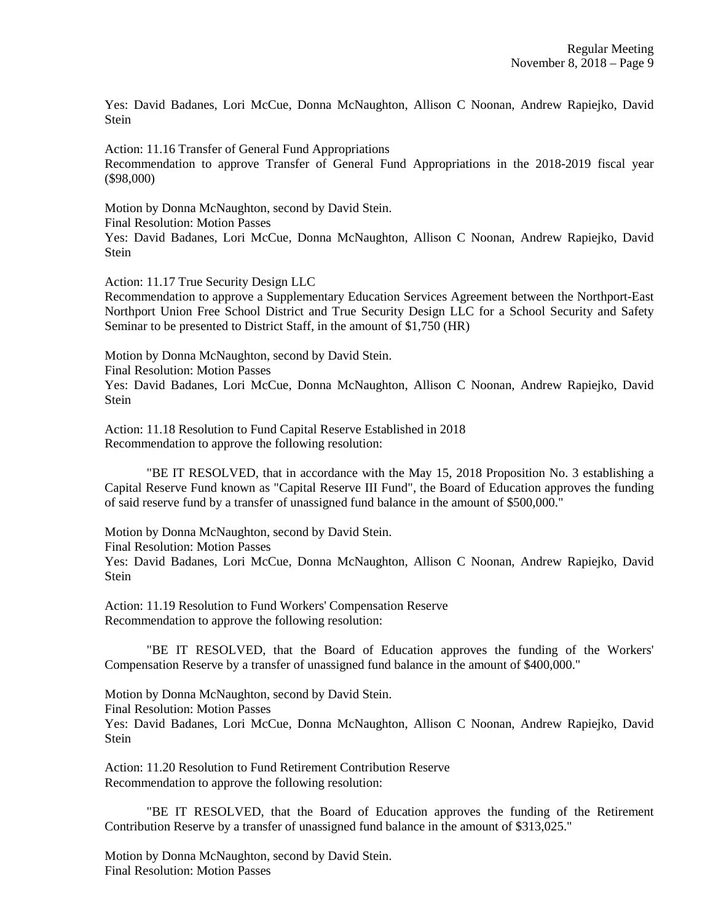Yes: David Badanes, Lori McCue, Donna McNaughton, Allison C Noonan, Andrew Rapiejko, David Stein

Action: 11.16 Transfer of General Fund Appropriations Recommendation to approve Transfer of General Fund Appropriations in the 2018-2019 fiscal year (\$98,000)

Motion by Donna McNaughton, second by David Stein. Final Resolution: Motion Passes Yes: David Badanes, Lori McCue, Donna McNaughton, Allison C Noonan, Andrew Rapiejko, David **Stein** 

Action: 11.17 True Security Design LLC

Recommendation to approve a Supplementary Education Services Agreement between the Northport-East Northport Union Free School District and True Security Design LLC for a School Security and Safety Seminar to be presented to District Staff, in the amount of \$1,750 (HR)

Motion by Donna McNaughton, second by David Stein. Final Resolution: Motion Passes Yes: David Badanes, Lori McCue, Donna McNaughton, Allison C Noonan, Andrew Rapiejko, David Stein

Action: 11.18 Resolution to Fund Capital Reserve Established in 2018 Recommendation to approve the following resolution:

"BE IT RESOLVED, that in accordance with the May 15, 2018 Proposition No. 3 establishing a Capital Reserve Fund known as "Capital Reserve III Fund", the Board of Education approves the funding of said reserve fund by a transfer of unassigned fund balance in the amount of \$500,000."

Motion by Donna McNaughton, second by David Stein.

Final Resolution: Motion Passes

Yes: David Badanes, Lori McCue, Donna McNaughton, Allison C Noonan, Andrew Rapiejko, David Stein

Action: 11.19 Resolution to Fund Workers' Compensation Reserve Recommendation to approve the following resolution:

"BE IT RESOLVED, that the Board of Education approves the funding of the Workers' Compensation Reserve by a transfer of unassigned fund balance in the amount of \$400,000."

Motion by Donna McNaughton, second by David Stein. Final Resolution: Motion Passes Yes: David Badanes, Lori McCue, Donna McNaughton, Allison C Noonan, Andrew Rapiejko, David Stein

Action: 11.20 Resolution to Fund Retirement Contribution Reserve Recommendation to approve the following resolution:

"BE IT RESOLVED, that the Board of Education approves the funding of the Retirement Contribution Reserve by a transfer of unassigned fund balance in the amount of \$313,025."

Motion by Donna McNaughton, second by David Stein. Final Resolution: Motion Passes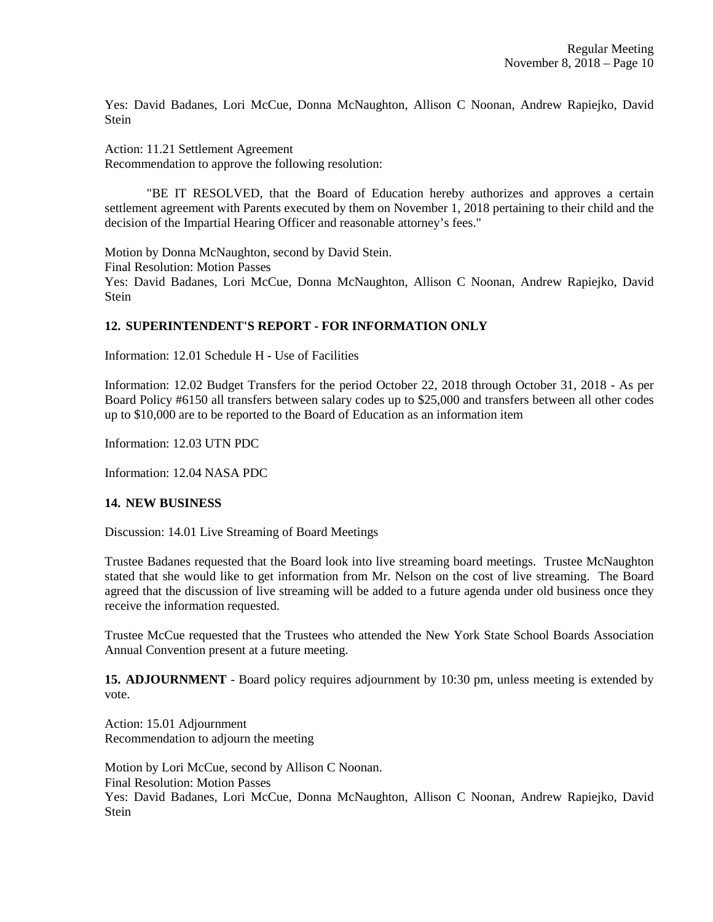Yes: David Badanes, Lori McCue, Donna McNaughton, Allison C Noonan, Andrew Rapiejko, David Stein

Action: 11.21 Settlement Agreement Recommendation to approve the following resolution:

"BE IT RESOLVED, that the Board of Education hereby authorizes and approves a certain settlement agreement with Parents executed by them on November 1, 2018 pertaining to their child and the decision of the Impartial Hearing Officer and reasonable attorney's fees."

Motion by Donna McNaughton, second by David Stein. Final Resolution: Motion Passes Yes: David Badanes, Lori McCue, Donna McNaughton, Allison C Noonan, Andrew Rapiejko, David Stein

# **12. SUPERINTENDENT'S REPORT - FOR INFORMATION ONLY**

Information: 12.01 Schedule H - Use of Facilities

Information: 12.02 Budget Transfers for the period October 22, 2018 through October 31, 2018 - As per Board Policy #6150 all transfers between salary codes up to \$25,000 and transfers between all other codes up to \$10,000 are to be reported to the Board of Education as an information item

Information: 12.03 UTN PDC

Information: 12.04 NASA PDC

## **14. NEW BUSINESS**

Discussion: 14.01 Live Streaming of Board Meetings

Trustee Badanes requested that the Board look into live streaming board meetings. Trustee McNaughton stated that she would like to get information from Mr. Nelson on the cost of live streaming. The Board agreed that the discussion of live streaming will be added to a future agenda under old business once they receive the information requested.

Trustee McCue requested that the Trustees who attended the New York State School Boards Association Annual Convention present at a future meeting.

**15. ADJOURNMENT** - Board policy requires adjournment by 10:30 pm, unless meeting is extended by vote.

Action: 15.01 Adjournment Recommendation to adjourn the meeting

Motion by Lori McCue, second by Allison C Noonan. Final Resolution: Motion Passes Yes: David Badanes, Lori McCue, Donna McNaughton, Allison C Noonan, Andrew Rapiejko, David Stein